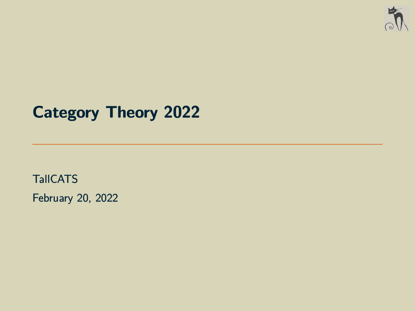

# **Category Theory 2022**

**TallCATS** February 20, 2022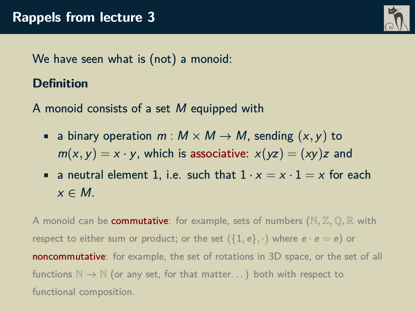

We have seen what is (not) a monoid:

## **Definition**

A monoid consists of a set M equipped with

- **•** a binary operation  $m : M \times M \rightarrow M$ , sending  $(x, y)$  to  $m(x, y) = x \cdot y$ , which is associative:  $x(yz) = (xy)z$  and
- a neutral element 1, i.e. such that  $1 \cdot x = x \cdot 1 = x$  for each  $x \in M$

A monoid can be commutative: for example, sets of numbers (N*,* Z*,* Q*,* R with respect to either sum or product; or the set  $(\{1, e\}, \cdot)$  where  $e \cdot e = e$ ) or noncommutative: for example, the set of rotations in 3D space, or the set of all functions  $\mathbb{N} \to \mathbb{N}$  (or any set, for that matter...) both with respect to functional composition.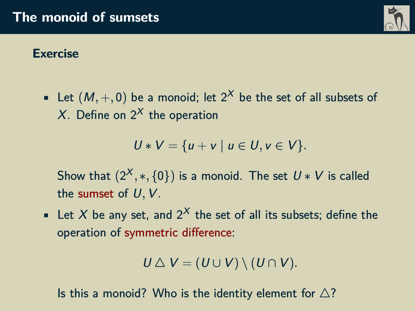## **Exercise**

• Let  $(M, +, 0)$  be a monoid; let  $2^X$  be the set of all subsets of X. Define on  $2^X$  the operation

$$
U * V = \{u + v \mid u \in U, v \in V\}.
$$

Show that  $(2^{\mathcal{X}},*,\{0\})$  is a monoid. The set  $U*V$  is called the sumset of U*,* V.

• Let X be any set, and  $2^X$  the set of all its subsets; define the operation of symmetric difference:

$$
U \bigtriangleup V = (U \cup V) \setminus (U \cap V).
$$

Is this a monoid? Who is the identity element for  $\triangle$ ?

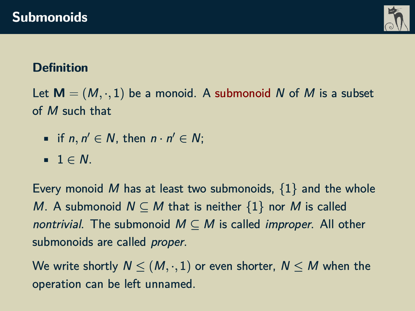

# **Definition**

Let  $M = (M, \cdot, 1)$  be a monoid. A submonoid N of M is a subset of M such that

- if  $n, n' \in N$ , then  $n \cdot n' \in N$ ;
- $\blacksquare$  1  $\in$  N.

Every monoid M has at least two submonoids,  $\{1\}$  and the whole M. A submonoid  $N \subseteq M$  that is neither  $\{1\}$  nor M is called nontrivial. The submonoid  $M \subseteq M$  is called *improper*. All other submonoids are called *proper*.

We write shortly  $N \leq (M, \cdot, 1)$  or even shorter,  $N \leq M$  when the operation can be left unnamed.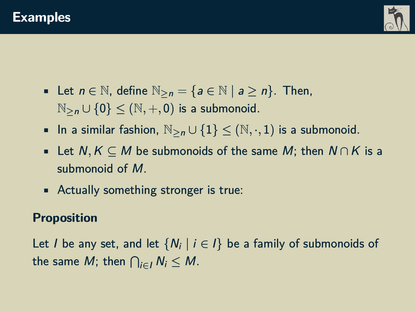



- Let  $n \in \mathbb{N}$ , define  $\mathbb{N}_{\geq n} = \{a \in \mathbb{N} \mid a \geq n\}$ . Then,  $\mathbb{N}_{\geq n} \cup \{0\}$  <  $(\mathbb{N}, +, 0)$  is a submonoid.
- In a similar fashion,  $\mathbb{N}_{\geq n} \cup \{1\} \leq (\mathbb{N}, \cdot, 1)$  is a submonoid.
- Let  $N, K \subseteq M$  be submonoids of the same  $M$ ; then  $N \cap K$  is a submonoid of M.
- Actually something stronger is true:

#### **Proposition**

Let  $I$  be any set, and let  $\{N_i\mid i\in I\}$  be a family of submonoids of the same  $M$ ; then  $\bigcap_{i\in I}N_i\leq M.$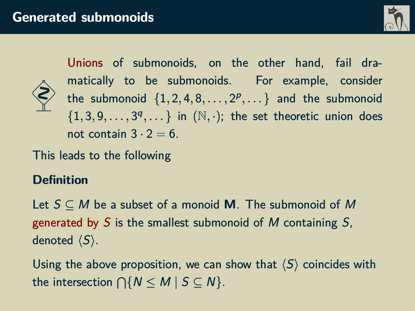



Unions of submonoids, on the other hand, fail dramatically to be submonoids. For example, consider  ${\sf the \; \; submonoid \; \; \{1,2,4,8,\ldots,2^p,\ldots\} \; \; and \; \; the \; \; submonoid}$  $\{1, 3, 9, \ldots, 3^q, \ldots\}$  in  $(\mathbb{N}, \cdot)$ ; the set theoretic union does not contain  $3 \cdot 2 = 6$ .

This leads to the following

### **Definition**

Let S ⊆ M be a subset of a monoid **M**. The submonoid of M generated by S is the smallest submonoid of M containing  $S$ . denoted  $\langle S \rangle$ .

Using the above proposition, we can show that  $\langle S \rangle$  coincides with the intersection  $\bigcap \{N\leq M\mid S\subseteq N\}.$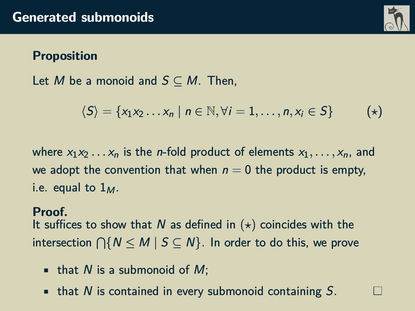

#### **Proposition**

Let M be a monoid and  $S \subseteq M$ . Then,

$$
\langle S \rangle = \{x_1x_2 \ldots x_n \mid n \in \mathbb{N}, \forall i = 1, \ldots, n, x_i \in S\} \qquad (*)
$$

where  $x_1x_2 \ldots x_n$  is the *n*-fold product of elements  $x_1, \ldots, x_n$ , and we adopt the convention that when  $n = 0$  the product is empty, i.e. equal to  $1_M$ .

#### **Proof.**

It suffices to show that N as defined in  $(*)$  coincides with the intersection  $\bigcap \{N\leq M\mid S\subseteq N\}.$  In order to do this, we prove

- that N is a submonoid of  $M$ ;
- $\blacksquare$  that N is contained in every submonoid containing S.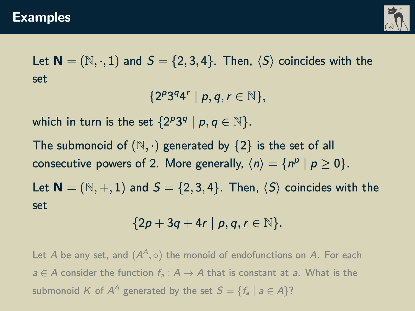

Let  $N = (N, \cdot, 1)$  and  $S = \{2, 3, 4\}$ . Then,  $\langle S \rangle$  coincides with the set

 ${2^{p}3^{q}4^{r} | p,q,r \in \mathbb{N}},$ 

which in turn is the set  $\{2^{p}3^{q} | p, q \in \mathbb{N}\}.$ 

The submonoid of  $(N, \cdot)$  generated by  $\{2\}$  is the set of all consecutive powers of 2. More generally,  $\langle n \rangle = \{ n^p \mid p \ge 0 \}.$ Let  $N = (N, +, 1)$  and  $S = \{2, 3, 4\}$ . Then,  $\langle S \rangle$  coincides with the set

$$
\{2p+3q+4r\mid p,q,r\in\mathbb{N}\}.
$$

Let  $A$  be any set, and  $(A^A,\circ)$  the monoid of endofunctions on  $A.$  For each  $a \in A$  consider the function  $f_a : A \to A$  that is constant at a. What is the submonoid  $K$  of  $A^A$  generated by the set  $\mathcal{S} = \{f_a \mid a \in A\} ?$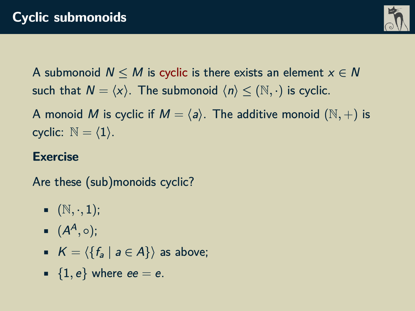

A submonoid  $N \leq M$  is cyclic is there exists an element  $x \in N$ such that  $N = \langle x \rangle$ . The submonoid  $\langle n \rangle \leq (N, \cdot)$  is cyclic.

A monoid M is cyclic if  $M = \langle a \rangle$ . The additive monoid  $(N, +)$  is cyclic:  $\mathbb{N} = \langle 1 \rangle$ .

# **Exercise**

Are these (sub)monoids cyclic?

- $(N, \cdot, 1)$ ;
- $(A^A, \circ);$
- $K = \langle \{f_a \mid a \in A\}\rangle$  as above;
- $\blacksquare$  {1, e} where ee = e.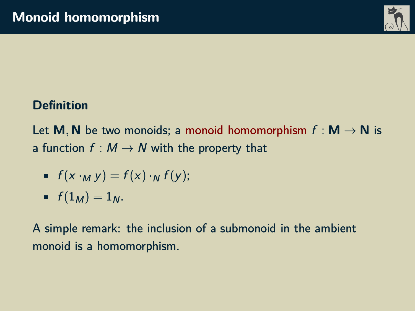

# **Definition**

Let **M**, **N** be two monoids; a monoid homomorphism  $f : M \to N$  is a function  $f : M \rightarrow N$  with the property that

$$
= f(x \cdot_M y) = f(x) \cdot_N f(y);
$$

$$
\bullet \quad f(1_M)=1_N.
$$

A simple remark: the inclusion of a submonoid in the ambient monoid is a homomorphism.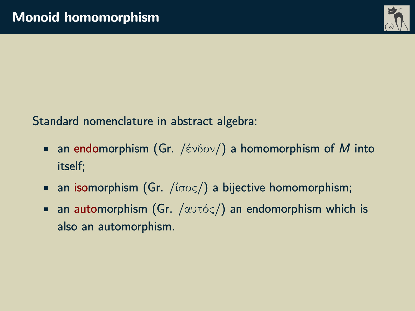

Standard nomenclature in abstract algebra:

- **•** an endomorphism (Gr. /ένδον/) a homomorphism of M into itself;
- **•** an isomorphism (Gr. / $(i\sigma o\varsigma)$ ) a bijective homomorphism;
- **•** an automorphism (Gr.  $/\alpha v \tau \phi \leq \beta$ ) an endomorphism which is also an automorphism.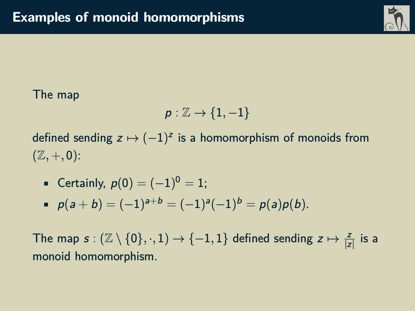

### The map

$$
\rho:\mathbb{Z}\to\{1,-1\}
$$

defined sending  $z \mapsto (-1)^z$  is a homomorphism of monoids from  $(\mathbb{Z}, +, 0)$ :

- Certainly,  $p(0) = (-1)^0 = 1$ ;
- $p(a + b) = (-1)^{a+b} = (-1)^{a} (-1)^{b} = p(a)p(b).$

The map  $s : (\mathbb{Z} \setminus \{0\}, \cdot, 1) \to \{-1, 1\}$  defined sending  $z \mapsto \frac{z}{|z|}$  is a monoid homomorphism.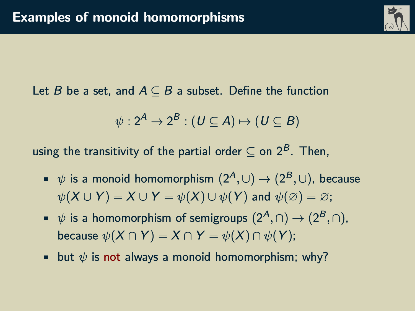

Let B be a set, and  $A \subseteq B$  a subset. Define the function

$$
\psi: 2^A \to 2^B : (U \subseteq A) \mapsto (U \subseteq B)
$$

using the transitivity of the partial order  $\subset$  on  $2^B$ . Then,

- $\psi$  is a monoid homomorphism  $(2^A, \cup)$  →  $(2^B, \cup)$ , because  $\psi(X \cup Y) = X \cup Y = \psi(X) \cup \psi(Y)$  and  $\psi(\emptyset) = \emptyset$ ;
- $\psi$  is a homomorphism of semigroups  $(2^A, \cap)$  →  $(2^B, \cap)$ , because  $\psi(X \cap Y) = X \cap Y = \psi(X) \cap \psi(Y);$
- but  $\psi$  is not always a monoid homomorphism: why?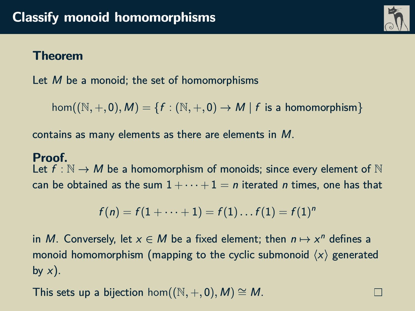#### **Theorem**

Let  $M$  be a monoid; the set of homomorphisms

 $hom((\mathbb{N}, +, 0), M) = \{f : (\mathbb{N}, +, 0) \to M \mid f \text{ is a homomorphism}\}$ 

contains as many elements as there are elements in M.

#### **Proof.**

Let  $f : \mathbb{N} \to M$  be a homomorphism of monoids; since every element of  $\mathbb N$ can be obtained as the sum  $1 + \cdots + 1 = n$  iterated *n* times, one has that

$$
f(n) = f(1 + \cdots + 1) = f(1) \ldots f(1) = f(1)^n
$$

in M. Conversely, let  $x \in M$  be a fixed element; then  $n \mapsto x^n$  defines a monoid homomorphism (mapping to the cyclic submonoid  $\langle x \rangle$  generated by  $x$ ).

This sets up a bijection hom $((\mathbb{N}, +, 0), M) \cong M$ .



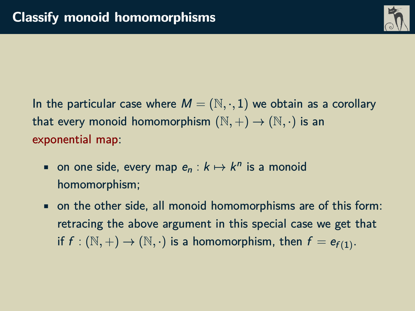

In the particular case where  $M = (\mathbb{N}, \cdot, 1)$  we obtain as a corollary that every monoid homomorphism  $(\mathbb{N}, +) \to (\mathbb{N}, \cdot)$  is an exponential map:

- on one side, every map  $e_n : k \mapsto k^n$  is a monoid homomorphism;
- on the other side, all monoid homomorphisms are of this form: retracing the above argument in this special case we get that if  $f : (\mathbb{N}, +) \to (\mathbb{N}, \cdot)$  is a homomorphism, then  $f = e_{f(1)}$ .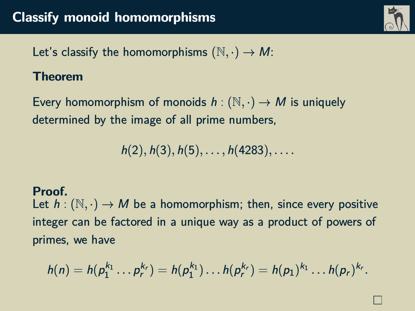

Let's classify the homomorphisms  $(N, \cdot) \rightarrow M$ :

#### **Theorem**

Every homomorphism of monoids  $h : (\mathbb{N}, \cdot) \to M$  is uniquely determined by the image of all prime numbers,

h(2)*,* h(3)*,* h(5)*, . . . ,* h(4283)*, . . . .*

#### **Proof.**

Let  $h : (\mathbb{N}, \cdot) \to M$  be a homomorphism; then, since every positive integer can be factored in a unique way as a product of powers of primes, we have

$$
h(n) = h(p_1^{k_1} \dots p_r^{k_r}) = h(p_1^{k_1}) \dots h(p_r^{k_r}) = h(p_1)^{k_1} \dots h(p_r)^{k_r}.
$$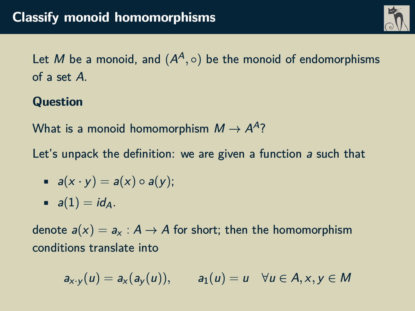

Let  $M$  be a monoid, and  $(A^A,\circ)$  be the monoid of endomorphisms of a set A.

**Question**

What is a monoid homomorphism  $M\to A^A$ ?

Let's unpack the definition: we are given a function a such that

$$
a(x \cdot y) = a(x) \circ a(y);
$$

$$
\bullet \quad a(1)=id_A.
$$

denote  $a(x) = a_x : A \rightarrow A$  for short; then the homomorphism conditions translate into

 $a_{x\cdot y}(u) = a_x(a_y(u)),$   $a_1(u) = u \quad \forall u \in A, x, y \in M$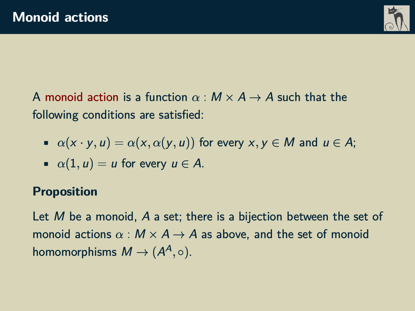

A monoid action is a function  $\alpha : M \times A \rightarrow A$  such that the following conditions are satisfied:

 $\alpha(x \cdot y, u) = \alpha(x, \alpha(y, u))$  for every  $x, y \in M$  and  $u \in A$ ;

• 
$$
\alpha(1, u) = u
$$
 for every  $u \in A$ .

#### **Proposition**

Let M be a monoid, A a set; there is a bijection between the set of monoid actions  $\alpha : M \times A \rightarrow A$  as above, and the set of monoid homomorphisms  $M \to (A^A,\circ).$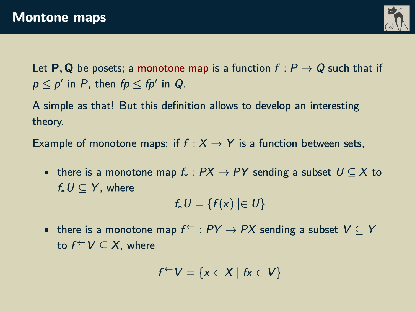

Let **P**, Q be posets; a monotone map is a function  $f: P \rightarrow Q$  such that if  $p \leq p'$  in P, then  $fp \leq fp'$  in Q.

A simple as that! But this definition allows to develop an interesting theory.

Example of monotone maps: if  $f : X \rightarrow Y$  is a function between sets,

• there is a monotone map  $f_*: PX \to PY$  sending a subset  $U \subseteq X$  to  $f_* U \subset Y$ , where

$$
f_*U=\{f(x)\mid\in U\}
$$

• there is a monotone map  $f^{\leftarrow} : PY \rightarrow PX$  sending a subset  $V \subseteq Y$ to  $f^{\leftarrow}V \subset X$ , where

$$
f^{\leftarrow}V = \{x \in X \mid fx \in V\}
$$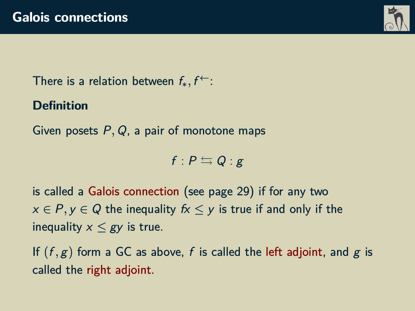

There is a relation between  $f_*, f^{\leftarrow}$ :

**Definition**

Given posets P*,* Q, a pair of monotone maps

 $f : P \leftrightarrows Q : g$ 

is called a Galois connection (see page [29\)](#page-28-0) if for any two  $x \in P$ ,  $y \in Q$  the inequality  $fx \leq y$  is true if and only if the inequality  $x \leq g$  is true.

If  $(f, g)$  form a GC as above, f is called the left adjoint, and g is called the right adjoint.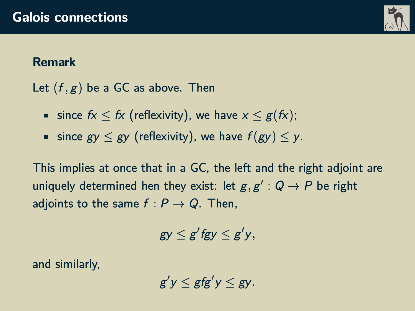

### **Remark**

Let  $(f, g)$  be a GC as above. Then

- since  $f_X \leq f_X$  (reflexivity), we have  $x \leq g(f_X)$ ;
- since  $gy \leq gy$  (reflexivity), we have  $f(gy) \leq y$ .

This implies at once that in a GC, the left and the right adjoint are uniquely determined hen they exist: let  $g, g' : Q \rightarrow P$  be right adjoints to the same  $f : P \to Q$ . Then,

 $gy \leq g'$ fgy  $\leq g'y$ ,

and similarly,

 $g'y \leq gfg'y \leq gy$ .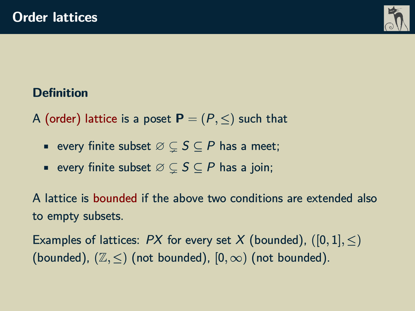

# **Definition**

- A (order) lattice is a poset  $P = (P, \le)$  such that
	- every finite subset  $\emptyset \subseteq S \subseteq P$  has a meet;
	- every finite subset  $\emptyset \subset S \subset P$  has a join;

A lattice is bounded if the above two conditions are extended also to empty subsets.

Examples of lattices:  $PX$  for every set X (bounded),  $([0, 1], \leq)$ (bounded),  $(\mathbb{Z}, \leq)$  (not bounded),  $[0, \infty)$  (not bounded).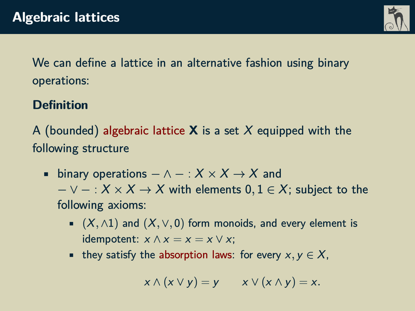

We can define a lattice in an alternative fashion using binary operations:

# **Definition**

A (bounded) algebraic lattice **X** is a set X equipped with the following structure

- binary operations  $-\wedge : X \times X \rightarrow X$  and  $- \vee - : X \times X \rightarrow X$  with elements  $0, 1 \in X$ ; subject to the following axioms:
	- (X*,* ∧1) and (X*,* ∨*,* 0) form monoids, and every element is idempotent:  $x \wedge x = x = x \vee x$ ;
	- they satisfy the absorption laws: for every  $x, y \in X$ ,

$$
x \wedge (x \vee y) = y \qquad x \vee (x \wedge y) = x.
$$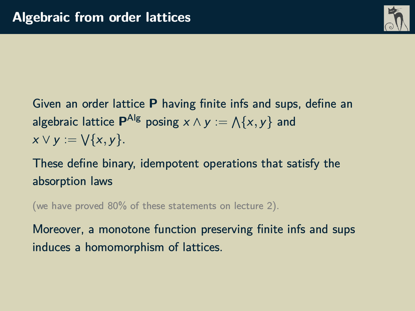

Given an order lattice **P** having finite infs and sups, define an algebraic lattice  $\mathbf{P}^{\mathsf{Alg}}$  posing  $x \wedge y := \bigwedge \{x, y\}$  and  $x \vee y := \bigvee \{x, y\}.$ 

These define binary, idempotent operations that satisfy the absorption laws

(we have proved 80% of these statements on lecture 2).

Moreover, a monotone function preserving finite infs and sups induces a homomorphism of lattices.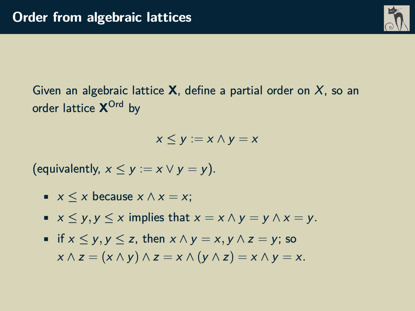

Given an algebraic lattice **X**, define a partial order on X, so an order lattice **X** Ord by

 $x \leq v := x \wedge v = x$ 

(equivalently,  $x \le y := x \vee y = y$ ).

- $x \leq x$  because  $x \wedge x = x$ ;
- $\bullet x \leq y, y \leq x$  implies that  $x = x \wedge y = y \wedge x = y$ .
- if x ≤ y*,* y ≤ z, then x ∧ y = x*,* y ∧ z = y; so  $x \wedge z = (x \wedge y) \wedge z = x \wedge (y \wedge z) = x \wedge y = x.$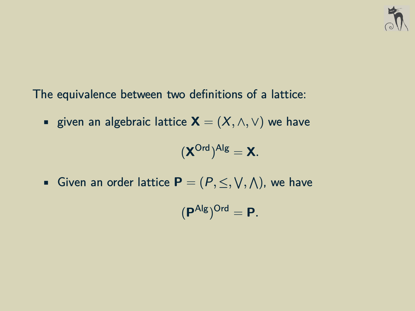

The equivalence between two definitions of a lattice:

■ given an algebraic lattice  $\mathbf{X} = (X, \wedge, \vee)$  we have

$$
(\boldsymbol{X}^{Ord})^{Alg}=\boldsymbol{X}.
$$

■ Given an order lattice  $\mathbf{P} = (P, \leq, \vee, \wedge)$ , we have

$$
(\textbf{P}^{\text{Alg}})^{\text{Ord}}=\textbf{P}.
$$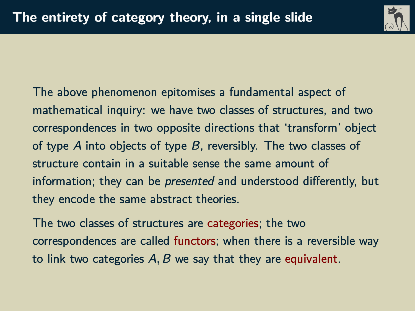

The above phenomenon epitomises a fundamental aspect of mathematical inquiry: we have two classes of structures, and two correspondences in two opposite directions that 'transform' object of type A into objects of type B, reversibly. The two classes of structure contain in a suitable sense the same amount of information; they can be presented and understood differently, but they encode the same abstract theories.

The two classes of structures are categories; the two correspondences are called functors; when there is a reversible way to link two categories A*,* B we say that they are equivalent.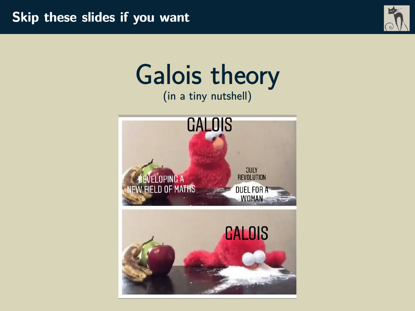

# Galois theory (in a tiny nutshell)

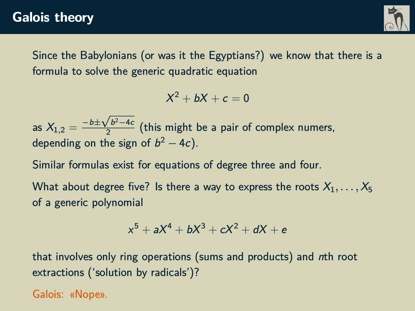

<span id="page-28-0"></span>Since the Babylonians (or was it the Egyptians?) we know that there is a formula to solve the generic quadratic equation

 $X^2 + bX + c = 0$ 

as  $X_{1,2} = \frac{-b \pm \sqrt{b^2 - 4c}}{2}$  $\frac{2}{2}$  (this might be a pair of complex numers, depending on the sign of  $b^2 - 4c$ ).

Similar formulas exist for equations of degree three and four.

What about degree five? Is there a way to express the roots  $X_1, \ldots, X_5$ of a generic polynomial

$$
x^5 + aX^4 + bX^3 + cX^2 + dX + e
$$

that involves only ring operations (sums and products) and nth root extractions ('solution by radicals')?

Galois: «Nope».